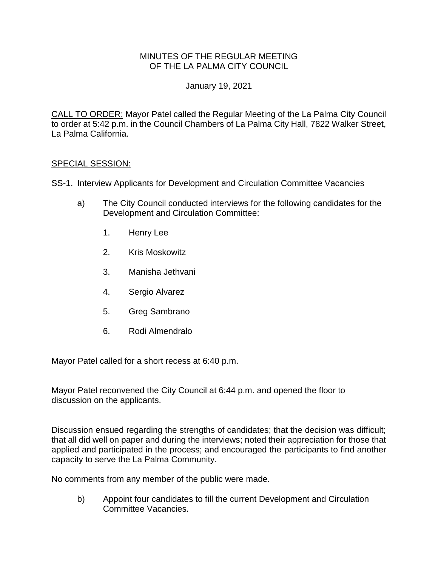## MINUTES OF THE REGULAR MEETING OF THE LA PALMA CITY COUNCIL

## January 19, 2021

CALL TO ORDER: [Mayor Patel called the Regular Meeting of the La Palma City Council](https://lapalma.granicus.com/MediaPlayer.php?view_id=&clip_id=1253&meta_id=167972)  [to order at 5:42 p.m. in the Council Chambers of La Palma City Hall, 7822 Walker Street,](https://lapalma.granicus.com/MediaPlayer.php?view_id=&clip_id=1253&meta_id=167972)  [La Palma California.](https://lapalma.granicus.com/MediaPlayer.php?view_id=&clip_id=1253&meta_id=167972)

### SPECIAL SESSION:

SS-1. [Interview Applicants for Development and Circulation Committee Vacancies](https://lapalma.granicus.com/MediaPlayer.php?view_id=&clip_id=1253&meta_id=167973)

- a) [The City Council conducted interviews for the following candidates for the](https://lapalma.granicus.com/MediaPlayer.php?view_id=&clip_id=1253&meta_id=167974)  [Development and Circulation Committee:](https://lapalma.granicus.com/MediaPlayer.php?view_id=&clip_id=1253&meta_id=167974)
	- 1. [Henry Lee](https://lapalma.granicus.com/MediaPlayer.php?view_id=&clip_id=1253&meta_id=167975)
	- 2. [Kris Moskowitz](https://lapalma.granicus.com/MediaPlayer.php?view_id=&clip_id=1253&meta_id=167976)
	- 3. [Manisha Jethvani](https://lapalma.granicus.com/MediaPlayer.php?view_id=&clip_id=1253&meta_id=167977)
	- 4. [Sergio Alvarez](https://lapalma.granicus.com/MediaPlayer.php?view_id=&clip_id=1253&meta_id=167978)
	- 5. [Greg Sambrano](https://lapalma.granicus.com/MediaPlayer.php?view_id=&clip_id=1253&meta_id=167979)
	- 6. [Rodi Almendralo](https://lapalma.granicus.com/MediaPlayer.php?view_id=&clip_id=1253&meta_id=167981)

Mayor Patel called for a short recess at 6:40 p.m.

Mayor Patel reconvened the City Council at 6:44 p.m. and opened the floor to discussion on the applicants.

Discussion ensued regarding the strengths of candidates; that the decision was difficult; that all did well on paper and during the interviews; noted their appreciation for those that applied and participated in the process; and encouraged the participants to find another capacity to serve the La Palma Community.

No comments from any member of the public were made.

b) Appoint four candidates to fill the current Development and Circulation Committee Vacancies.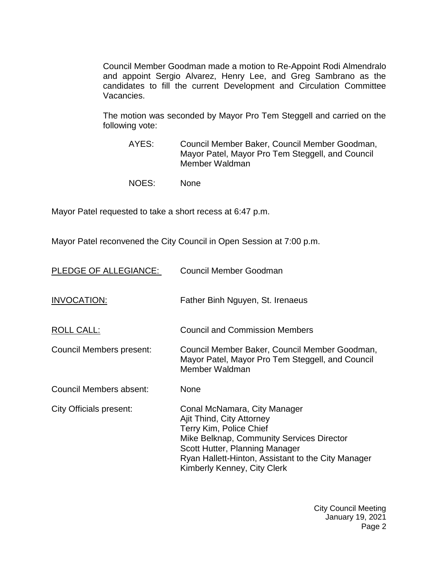Council Member Goodman made a motion to Re-Appoint Rodi Almendralo and appoint Sergio Alvarez, Henry Lee, and Greg Sambrano as the candidates to fill the current Development and Circulation Committee Vacancies.

The motion was seconded by Mayor Pro Tem Steggell and carried on the following vote:

- AYES: Council Member Baker, Council Member Goodman, Mayor Patel, Mayor Pro Tem Steggell, and Council Member Waldman
- NOES: None

Mayor Patel requested to take a short recess at 6:47 p.m.

Mayor Patel reconvened the City Council in Open Session at 7:00 p.m.

| PLEDGE OF ALLEGIANCE:    | <b>Council Member Goodman</b>                                                                                                                                                                                                                            |
|--------------------------|----------------------------------------------------------------------------------------------------------------------------------------------------------------------------------------------------------------------------------------------------------|
| INVOCATION:              | Father Binh Nguyen, St. Irenaeus                                                                                                                                                                                                                         |
| ROLL CALL:               | <b>Council and Commission Members</b>                                                                                                                                                                                                                    |
| Council Members present: | Council Member Baker, Council Member Goodman,<br>Mayor Patel, Mayor Pro Tem Steggell, and Council<br>Member Waldman                                                                                                                                      |
| Council Members absent:  | None                                                                                                                                                                                                                                                     |
| City Officials present:  | Conal McNamara, City Manager<br>Ajit Thind, City Attorney<br>Terry Kim, Police Chief<br>Mike Belknap, Community Services Director<br>Scott Hutter, Planning Manager<br>Ryan Hallett-Hinton, Assistant to the City Manager<br>Kimberly Kenney, City Clerk |

City Council Meeting January 19, 2021 Page 2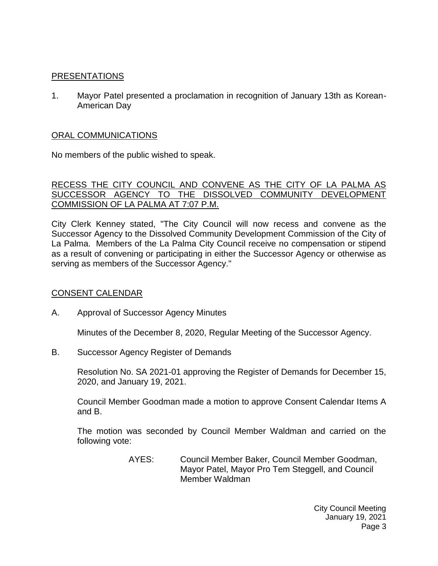## [PRESENTATIONS](https://lapalma.granicus.com/MediaPlayer.php?view_id=&clip_id=1253&meta_id=167986)

1. [Mayor Patel presented a proclamation in recognition of January 13th as Korean-](https://lapalma.granicus.com/MediaPlayer.php?view_id=&clip_id=1253&meta_id=167987)[American Day](https://lapalma.granicus.com/MediaPlayer.php?view_id=&clip_id=1253&meta_id=167987)

# [ORAL COMMUNICATIONS](https://lapalma.granicus.com/MediaPlayer.php?view_id=&clip_id=1253&meta_id=167988)

No members of the public wished to speak.

#### [RECESS THE CITY COUNCIL AND CONVENE AS THE CITY OF LA PALMA AS](https://lapalma.granicus.com/MediaPlayer.php?view_id=&clip_id=1253&meta_id=167989) [SUCCESSOR AGENCY TO THE DISSOLVED COMMUNITY DEVELOPMENT](https://lapalma.granicus.com/MediaPlayer.php?view_id=&clip_id=1253&meta_id=167989)  [COMMISSION OF LA PALMA AT 7:07 P.M.](https://lapalma.granicus.com/MediaPlayer.php?view_id=&clip_id=1253&meta_id=167989)

[City Clerk Kenney stated, "The City Council will now recess and convene as the](https://lapalma.granicus.com/MediaPlayer.php?view_id=&clip_id=1253&meta_id=167990)  [Successor Agency to the Dissolved Community Development Commission of the City of](https://lapalma.granicus.com/MediaPlayer.php?view_id=&clip_id=1253&meta_id=167990)  La Palma. [Members of the La Palma City Council receive no compensation or stipend](https://lapalma.granicus.com/MediaPlayer.php?view_id=&clip_id=1253&meta_id=167990)  [as a result of convening or participating in either the Successor Agency or otherwise as](https://lapalma.granicus.com/MediaPlayer.php?view_id=&clip_id=1253&meta_id=167990)  [serving as members of the Successor Agency."](https://lapalma.granicus.com/MediaPlayer.php?view_id=&clip_id=1253&meta_id=167990)

### [CONSENT CALENDAR](https://lapalma.granicus.com/MediaPlayer.php?view_id=&clip_id=1253&meta_id=167991)

A. Approval of Successor Agency Minutes

Minutes of the December 8, 2020, Regular Meeting of the Successor Agency.

B. Successor Agency Register of Demands

Resolution No. SA 2021-01 approving the Register of Demands for December 15, 2020, and January 19, 2021.

Council Member Goodman made a motion to approve Consent Calendar Items A and B.

The motion was seconded by Council Member Waldman and carried on the following vote:

> AYES: Council Member Baker, Council Member Goodman, Mayor Patel, Mayor Pro Tem Steggell, and Council Member Waldman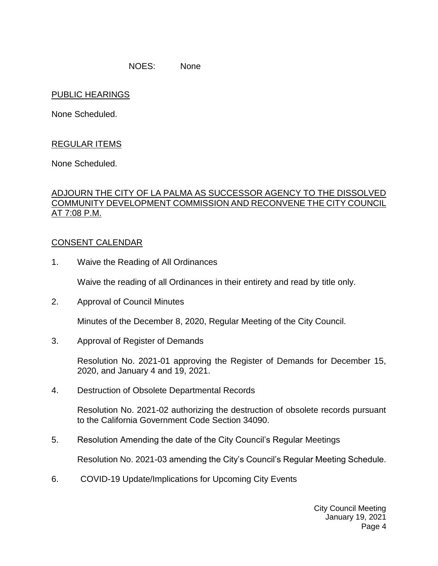NOES: None

### PUBLIC HEARINGS

None Scheduled.

# REGULAR ITEMS

None Scheduled.

### [ADJOURN THE CITY OF LA PALMA AS SUCCESSOR AGENCY TO THE DISSOLVED](https://lapalma.granicus.com/MediaPlayer.php?view_id=&clip_id=1253&meta_id=167996)  [COMMUNITY DEVELOPMENT COMMISSION AND RECONVENE THE CITY COUNCIL](https://lapalma.granicus.com/MediaPlayer.php?view_id=&clip_id=1253&meta_id=167996)  [AT 7:08 P.M.](https://lapalma.granicus.com/MediaPlayer.php?view_id=&clip_id=1253&meta_id=167996)

#### [CONSENT CALENDAR](https://lapalma.granicus.com/MediaPlayer.php?view_id=&clip_id=1253&meta_id=167998)

1. Waive the Reading of All Ordinances

Waive the reading of all Ordinances in their entirety and read by title only.

2. Approval of Council Minutes

Minutes of the December 8, 2020, Regular Meeting of the City Council.

3. Approval of Register of Demands

Resolution No. 2021-01 approving the Register of Demands for December 15, 2020, and January 4 and 19, 2021.

4. Destruction of Obsolete Departmental Records

Resolution No. 2021-02 authorizing the destruction of obsolete records pursuant to the California Government Code Section 34090.

5. Resolution Amending the date of the City Council's Regular Meetings

Resolution No. 2021-03 amending the City's Council's Regular Meeting Schedule.

6. COVID-19 Update/Implications for Upcoming City Events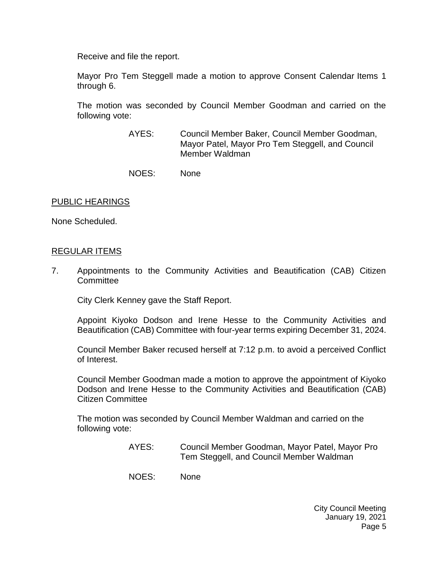Receive and file the report.

Mayor Pro Tem Steggell made a motion to approve Consent Calendar Items 1 through 6.

The motion was seconded by Council Member Goodman and carried on the following vote:

- AYES: Council Member Baker, Council Member Goodman, Mayor Patel, Mayor Pro Tem Steggell, and Council Member Waldman
- NOES: None

#### [PUBLIC HEARINGS](https://lapalma.granicus.com/MediaPlayer.php?view_id=&clip_id=1253&meta_id=168005)

None Scheduled.

#### [REGULAR ITEMS](https://lapalma.granicus.com/MediaPlayer.php?view_id=&clip_id=1253&meta_id=168006)

7. [Appointments to the Community Activities and Beautification \(CAB\) Citizen](https://lapalma.granicus.com/MediaPlayer.php?view_id=&clip_id=1253&meta_id=168007)  **[Committee](https://lapalma.granicus.com/MediaPlayer.php?view_id=&clip_id=1253&meta_id=168007)** 

City Clerk Kenney gave the Staff Report.

Appoint Kiyoko Dodson and Irene Hesse to the Community Activities and Beautification (CAB) Committee with four-year terms expiring December 31, 2024.

Council Member Baker recused herself at 7:12 p.m. to avoid a perceived Conflict of Interest.

Council Member Goodman made a motion to approve the appointment of Kiyoko Dodson and Irene Hesse to the Community Activities and Beautification (CAB) Citizen Committee

The motion was seconded by Council Member Waldman and carried on the following vote:

- AYES: Council Member Goodman, Mayor Patel, Mayor Pro Tem Steggell, and Council Member Waldman
- NOES: None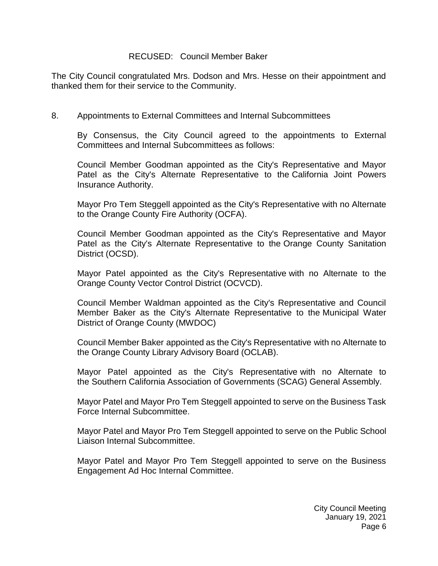#### RECUSED: Council Member Baker

The City Council congratulated Mrs. Dodson and Mrs. Hesse on their appointment and thanked them for their service to the Community.

#### 8. [Appointments to External Committees and Internal Subcommittees](https://lapalma.granicus.com/MediaPlayer.php?view_id=&clip_id=1253&meta_id=168008)

By Consensus, the City Council agreed to the appointments to External Committees and Internal Subcommittees as follows:

Council Member Goodman appointed as the City's Representative and Mayor Patel as the City's Alternate Representative to the California Joint Powers Insurance Authority.

Mayor Pro Tem Steggell appointed as the City's Representative with no Alternate to the Orange County Fire Authority (OCFA).

Council Member Goodman appointed as the City's Representative and Mayor Patel as the City's Alternate Representative to the Orange County Sanitation District (OCSD).

Mayor Patel appointed as the City's Representative with no Alternate to the Orange County Vector Control District (OCVCD).

Council Member Waldman appointed as the City's Representative and Council Member Baker as the City's Alternate Representative to the Municipal Water District of Orange County (MWDOC)

Council Member Baker appointed as the City's Representative with no Alternate to the Orange County Library Advisory Board (OCLAB).

Mayor Patel appointed as the City's Representative with no Alternate to the Southern California Association of Governments (SCAG) General Assembly.

Mayor Patel and Mayor Pro Tem Steggell appointed to serve on the Business Task Force Internal Subcommittee.

Mayor Patel and Mayor Pro Tem Steggell appointed to serve on the Public School Liaison Internal Subcommittee.

Mayor Patel and Mayor Pro Tem Steggell appointed to serve on the Business Engagement Ad Hoc Internal Committee.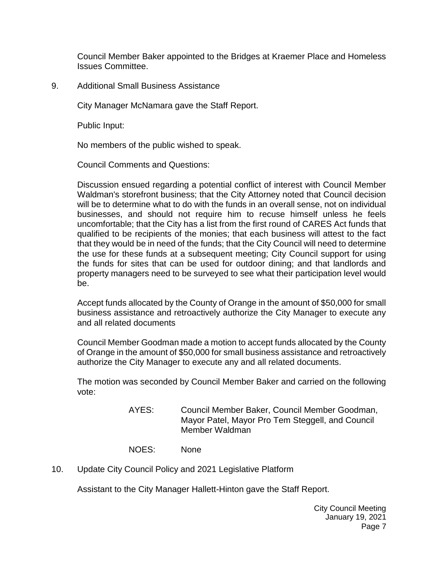Council Member Baker appointed to the Bridges at Kraemer Place and Homeless Issues Committee.

9. [Additional Small Business Assistance](https://lapalma.granicus.com/MediaPlayer.php?view_id=&clip_id=1253&meta_id=168009)

City Manager McNamara gave the Staff Report.

Public Input:

No members of the public wished to speak.

Council Comments and Questions:

Discussion ensued regarding a potential conflict of interest with Council Member Waldman's storefront business; that the City Attorney noted that Council decision will be to determine what to do with the funds in an overall sense, not on individual businesses, and should not require him to recuse himself unless he feels uncomfortable; that the City has a list from the first round of CARES Act funds that qualified to be recipients of the monies; that each business will attest to the fact that they would be in need of the funds; that the City Council will need to determine the use for these funds at a subsequent meeting; City Council support for using the funds for sites that can be used for outdoor dining; and that landlords and property managers need to be surveyed to see what their participation level would be.

Accept funds allocated by the County of Orange in the amount of \$50,000 for small business assistance and retroactively authorize the City Manager to execute any and all related documents

Council Member Goodman made a motion to accept funds allocated by the County of Orange in the amount of \$50,000 for small business assistance and retroactively authorize the City Manager to execute any and all related documents.

The motion was seconded by Council Member Baker and carried on the following vote:

> AYES: Council Member Baker, Council Member Goodman, Mayor Patel, Mayor Pro Tem Steggell, and Council Member Waldman

NOES: None

10. [Update City Council Policy and 2021 Legislative Platform](https://lapalma.granicus.com/MediaPlayer.php?view_id=&clip_id=1253&meta_id=168010)

Assistant to the City Manager Hallett-Hinton gave the Staff Report.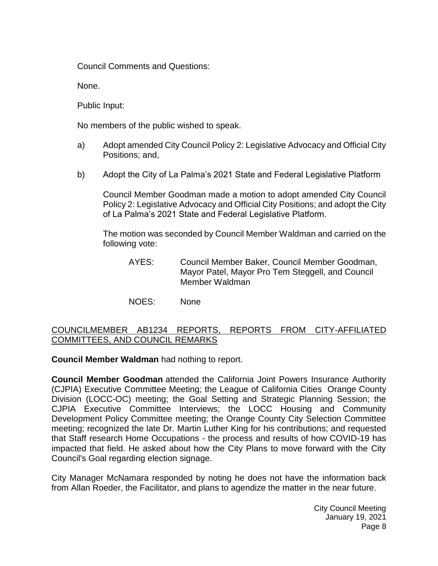Council Comments and Questions:

None.

Public Input:

No members of the public wished to speak.

- a) Adopt amended City Council Policy 2: Legislative Advocacy and Official City Positions; and,
- b) Adopt the City of La Palma's 2021 State and Federal Legislative Platform

Council Member Goodman made a motion to adopt amended City Council Policy 2: Legislative Advocacy and Official City Positions; and adopt the City of La Palma's 2021 State and Federal Legislative Platform.

The motion was seconded by Council Member Waldman and carried on the following vote:

- AYES: Council Member Baker, Council Member Goodman, Mayor Patel, Mayor Pro Tem Steggell, and Council Member Waldman
- NOES: None

## [COUNCILMEMBER AB1234 REPORTS, REPORTS FROM CITY-AFFILIATED](https://lapalma.granicus.com/MediaPlayer.php?view_id=&clip_id=1253&meta_id=168013)  [COMMITTEES, AND COUNCIL REMARKS](https://lapalma.granicus.com/MediaPlayer.php?view_id=&clip_id=1253&meta_id=168013)

**Council Member Waldman** had nothing to report.

**Council Member Goodman** attended the California Joint Powers Insurance Authority (CJPIA) Executive Committee Meeting; the League of California Cities Orange County Division (LOCC-OC) meeting; the Goal Setting and Strategic Planning Session; the CJPIA Executive Committee Interviews; the LOCC Housing and Community Development Policy Committee meeting; the Orange County City Selection Committee meeting; recognized the late Dr. Martin Luther King for his contributions; and requested that Staff research Home Occupations - the process and results of how COVID-19 has impacted that field. He asked about how the City Plans to move forward with the City Council's Goal regarding election signage.

City Manager McNamara responded by noting he does not have the information back from Allan Roeder, the Facilitator, and plans to agendize the matter in the near future.

> City Council Meeting January 19, 2021 Page 8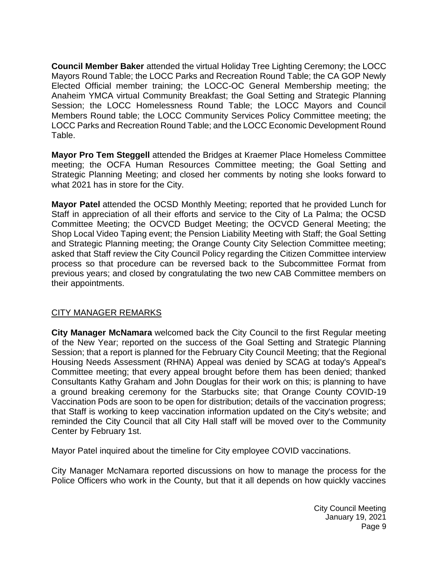**Council Member Baker** attended the virtual Holiday Tree Lighting Ceremony; the LOCC Mayors Round Table; the LOCC Parks and Recreation Round Table; the CA GOP Newly Elected Official member training; the LOCC-OC General Membership meeting; the Anaheim YMCA virtual Community Breakfast; the Goal Setting and Strategic Planning Session; the LOCC Homelessness Round Table; the LOCC Mayors and Council Members Round table; the LOCC Community Services Policy Committee meeting; the LOCC Parks and Recreation Round Table; and the LOCC Economic Development Round Table.

**Mayor Pro Tem Steggell** attended the Bridges at Kraemer Place Homeless Committee meeting; the OCFA Human Resources Committee meeting; the Goal Setting and Strategic Planning Meeting; and closed her comments by noting she looks forward to what 2021 has in store for the City.

**Mayor Patel** attended the OCSD Monthly Meeting; reported that he provided Lunch for Staff in appreciation of all their efforts and service to the City of La Palma; the OCSD Committee Meeting; the OCVCD Budget Meeting; the OCVCD General Meeting; the Shop Local Video Taping event; the Pension Liability Meeting with Staff; the Goal Setting and Strategic Planning meeting; the Orange County City Selection Committee meeting; asked that Staff review the City Council Policy regarding the Citizen Committee interview process so that procedure can be reversed back to the Subcommittee Format from previous years; and closed by congratulating the two new CAB Committee members on their appointments.

# [CITY MANAGER REMARKS](https://lapalma.granicus.com/MediaPlayer.php?view_id=&clip_id=1253&meta_id=168014)

**City Manager McNamara** welcomed back the City Council to the first Regular meeting of the New Year; reported on the success of the Goal Setting and Strategic Planning Session; that a report is planned for the February City Council Meeting; that the Regional Housing Needs Assessment (RHNA) Appeal was denied by SCAG at today's Appeal's Committee meeting; that every appeal brought before them has been denied; thanked Consultants Kathy Graham and John Douglas for their work on this; is planning to have a ground breaking ceremony for the Starbucks site; that Orange County COVID-19 Vaccination Pods are soon to be open for distribution; details of the vaccination progress; that Staff is working to keep vaccination information updated on the City's website; and reminded the City Council that all City Hall staff will be moved over to the Community Center by February 1st.

Mayor Patel inquired about the timeline for City employee COVID vaccinations.

City Manager McNamara reported discussions on how to manage the process for the Police Officers who work in the County, but that it all depends on how quickly vaccines